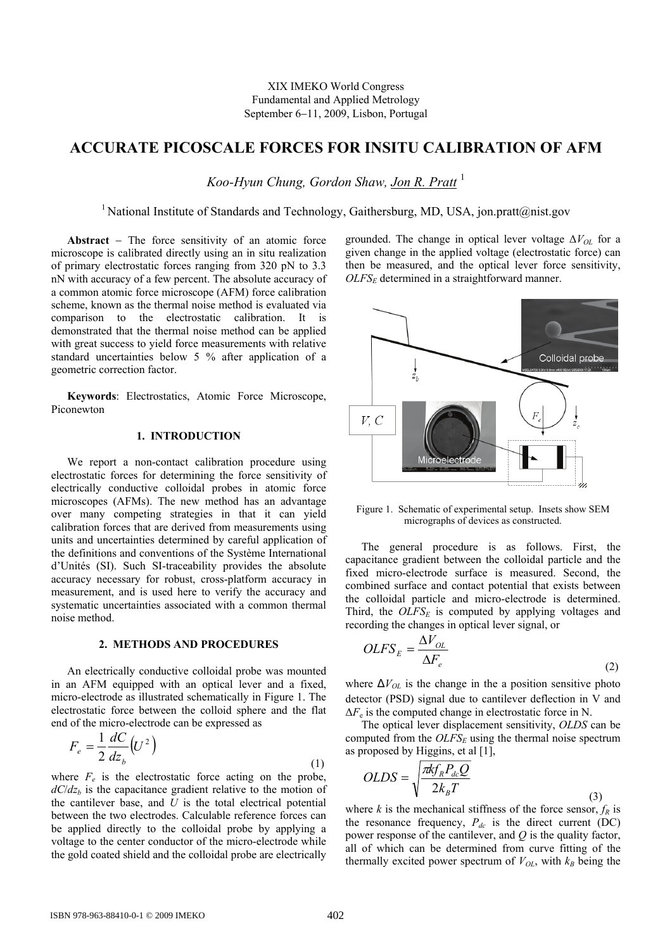# **ACCURATE PICOSCALE FORCES FOR INSITU CALIBRATION OF AFM**

*Koo-Hyun Chung, Gordon Shaw, Jon R. Pratt* <sup>1</sup>

<sup>1</sup> National Institute of Standards and Technology, Gaithersburg, MD, USA, jon.pratt@nist.gov

**Abstract** − The force sensitivity of an atomic force microscope is calibrated directly using an in situ realization of primary electrostatic forces ranging from 320 pN to 3.3 nN with accuracy of a few percent. The absolute accuracy of a common atomic force microscope (AFM) force calibration scheme, known as the thermal noise method is evaluated via comparison to the electrostatic calibration. It is demonstrated that the thermal noise method can be applied with great success to yield force measurements with relative standard uncertainties below 5 % after application of a geometric correction factor.

**Keywords**: Electrostatics, Atomic Force Microscope, Piconewton

## **1. INTRODUCTION**

We report a non-contact calibration procedure using electrostatic forces for determining the force sensitivity of electrically conductive colloidal probes in atomic force microscopes (AFMs). The new method has an advantage over many competing strategies in that it can yield calibration forces that are derived from measurements using units and uncertainties determined by careful application of the definitions and conventions of the Système International d'Unités (SI). Such SI-traceability provides the absolute accuracy necessary for robust, cross-platform accuracy in measurement, and is used here to verify the accuracy and systematic uncertainties associated with a common thermal noise method.

#### **2. METHODS AND PROCEDURES**

An electrically conductive colloidal probe was mounted in an AFM equipped with an optical lever and a fixed, micro-electrode as illustrated schematically in Figure 1. The electrostatic force between the colloid sphere and the flat end of the micro-electrode can be expressed as

$$
F_e = \frac{1}{2} \frac{dC}{dz_b} (U^2)
$$
\n(1)

where  $F_e$  is the electrostatic force acting on the probe,  $dC/dz<sub>b</sub>$  is the capacitance gradient relative to the motion of the cantilever base, and  $\bar{U}$  is the total electrical potential between the two electrodes. Calculable reference forces can be applied directly to the colloidal probe by applying a voltage to the center conductor of the micro-electrode while the gold coated shield and the colloidal probe are electrically

grounded. The change in optical lever voltage Δ*VOL* for a given change in the applied voltage (electrostatic force) can then be measured, and the optical lever force sensitivity, *OLFSE* determined in a straightforward manner.



Figure 1. Schematic of experimental setup. Insets show SEM micrographs of devices as constructed.

The general procedure is as follows. First, the capacitance gradient between the colloidal particle and the fixed micro-electrode surface is measured. Second, the combined surface and contact potential that exists between the colloidal particle and micro-electrode is determined. Third, the  $OLFS_E$  is computed by applying voltages and recording the changes in optical lever signal, or

$$
OLFS_E = \frac{\Delta V_{OL}}{\Delta F_e}
$$
 (2)

where  $\Delta V_{OL}$  is the change in the a position sensitive photo detector (PSD) signal due to cantilever deflection in V and  $\Delta F_e$  is the computed change in electrostatic force in N.

The optical lever displacement sensitivity, *OLDS* can be computed from the  $OLFS_E$  using the thermal noise spectrum as proposed by Higgins, et al [1],

$$
OLDS = \sqrt{\frac{\pi k f_R P_{dc} Q}{2k_B T}}
$$

where *k* is the mechanical stiffness of the force sensor,  $f_R$  is the resonance frequency,  $P_{dc}$  is the direct current (DC) power response of the cantilever, and *Q* is the quality factor, all of which can be determined from curve fitting of the thermally excited power spectrum of  $V_{OL}$ , with  $k_B$  being the

(3)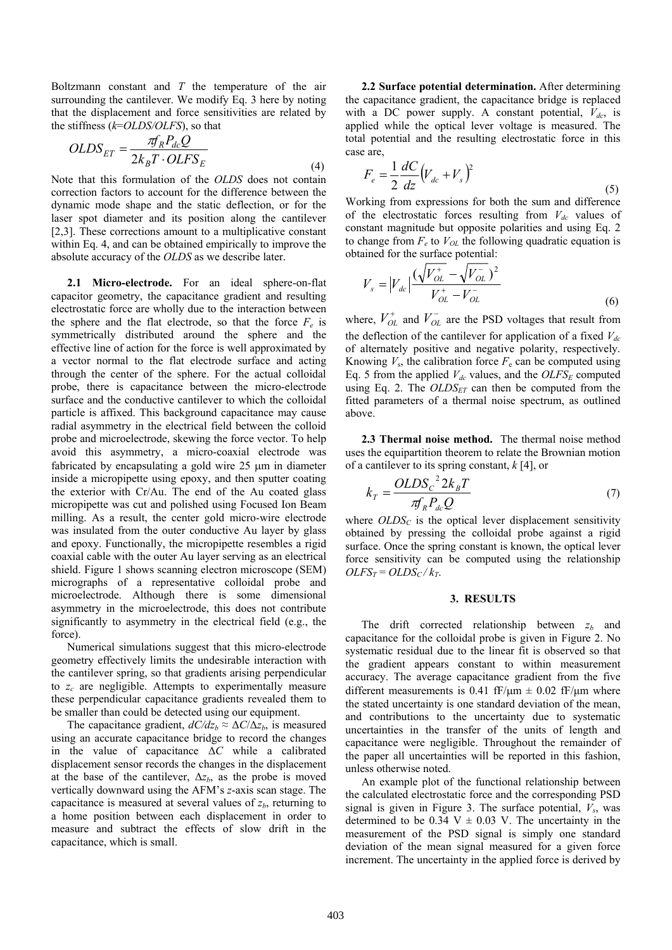Boltzmann constant and *T* the temperature of the air surrounding the cantilever. We modify Eq. 3 here by noting that the displacement and force sensitivities are related by the stiffness (*k*=*OLDS/OLFS*), so that

$$
OLDS_{ET} = \frac{\pi R_R P_{dc} Q}{2k_B T \cdot O LFS_E}
$$
\n(4)

Note that this formulation of the *OLDS* does not contain correction factors to account for the difference between the dynamic mode shape and the static deflection, or for the laser spot diameter and its position along the cantilever [2,3]. These corrections amount to a multiplicative constant within Eq. 4, and can be obtained empirically to improve the absolute accuracy of the *OLDS* as we describe later.

**2.1 Micro-electrode.** For an ideal sphere-on-flat capacitor geometry, the capacitance gradient and resulting electrostatic force are wholly due to the interaction between the sphere and the flat electrode, so that the force  $F_e$  is symmetrically distributed around the sphere and the effective line of action for the force is well approximated by a vector normal to the flat electrode surface and acting through the center of the sphere. For the actual colloidal probe, there is capacitance between the micro-electrode surface and the conductive cantilever to which the colloidal particle is affixed. This background capacitance may cause radial asymmetry in the electrical field between the colloid probe and microelectrode, skewing the force vector. To help avoid this asymmetry, a micro-coaxial electrode was fabricated by encapsulating a gold wire 25 μm in diameter inside a micropipette using epoxy, and then sputter coating the exterior with Cr/Au. The end of the Au coated glass micropipette was cut and polished using Focused Ion Beam milling. As a result, the center gold micro-wire electrode was insulated from the outer conductive Au layer by glass and epoxy. Functionally, the micropipette resembles a rigid coaxial cable with the outer Au layer serving as an electrical shield. Figure 1 shows scanning electron microscope (SEM) micrographs of a representative colloidal probe and microelectrode. Although there is some dimensional asymmetry in the microelectrode, this does not contribute significantly to asymmetry in the electrical field (e.g., the force).

Numerical simulations suggest that this micro-electrode geometry effectively limits the undesirable interaction with the cantilever spring, so that gradients arising perpendicular to *zc* are negligible. Attempts to experimentally measure these perpendicular capacitance gradients revealed them to be smaller than could be detected using our equipment.

The capacitance gradient,  $dC/dz_b \approx \Delta C/\Delta z_b$ , is measured using an accurate capacitance bridge to record the changes in the value of capacitance Δ*C* while a calibrated displacement sensor records the changes in the displacement at the base of the cantilever,  $\Delta z_h$ , as the probe is moved vertically downward using the AFM's *z*-axis scan stage. The capacitance is measured at several values of  $z<sub>b</sub>$ , returning to a home position between each displacement in order to measure and subtract the effects of slow drift in the capacitance, which is small.

**2.2 Surface potential determination.** After determining the capacitance gradient, the capacitance bridge is replaced with a DC power supply. A constant potential,  $V_{dc}$ , is applied while the optical lever voltage is measured. The total potential and the resulting electrostatic force in this case are,

$$
F_e = \frac{1}{2} \frac{dC}{dz} \left( V_{dc} + V_s \right)^2 \tag{5}
$$

Working from expressions for both the sum and difference of the electrostatic forces resulting from  $V_{dc}$  values of constant magnitude but opposite polarities and using Eq. 2 to change from  $F_e$  to  $V_{OL}$  the following quadratic equation is obtained for the surface potential:

$$
V_s = |V_{dc}| \frac{(\sqrt{V_{OL}^+} - \sqrt{V_{OL}^-})^2}{V_{OL}^+ - V_{OL}^-}
$$
\n(6)

where,  $V_{OL}^{+}$  and  $V_{OL}^{-}$  are the PSD voltages that result from the deflection of the cantilever for application of a fixed  $V_{dc}$ of alternately positive and negative polarity, respectively. Knowing  $V_s$ , the calibration force  $F_e$  can be computed using Eq. 5 from the applied  $V_{dc}$  values, and the  $OLFS_E$  computed using Eq. 2. The  $OLDS<sub>ET</sub>$  can then be computed from the fitted parameters of a thermal noise spectrum, as outlined above.

**2.3 Thermal noise method.** The thermal noise method uses the equipartition theorem to relate the Brownian motion of a cantilever to its spring constant, *k* [4], or

$$
k_T = \frac{OLDS_c^2 2k_B T}{\pi f_R P_{dc} Q} \tag{7}
$$

where  $OLDS<sub>C</sub>$  is the optical lever displacement sensitivity obtained by pressing the colloidal probe against a rigid surface. Once the spring constant is known, the optical lever force sensitivity can be computed using the relationship  $OLFS_T = OLDS_C/k_T$ .

## **3. RESULTS**

The drift corrected relationship between  $z<sub>b</sub>$  and capacitance for the colloidal probe is given in Figure 2. No systematic residual due to the linear fit is observed so that the gradient appears constant to within measurement accuracy. The average capacitance gradient from the five different measurements is 0.41 fF/ $\mu$ m  $\pm$  0.02 fF/ $\mu$ m where the stated uncertainty is one standard deviation of the mean, and contributions to the uncertainty due to systematic uncertainties in the transfer of the units of length and capacitance were negligible. Throughout the remainder of the paper all uncertainties will be reported in this fashion, unless otherwise noted.

An example plot of the functional relationship between the calculated electrostatic force and the corresponding PSD signal is given in Figure 3. The surface potential,  $V_s$ , was determined to be 0.34 V  $\pm$  0.03 V. The uncertainty in the measurement of the PSD signal is simply one standard deviation of the mean signal measured for a given force increment. The uncertainty in the applied force is derived by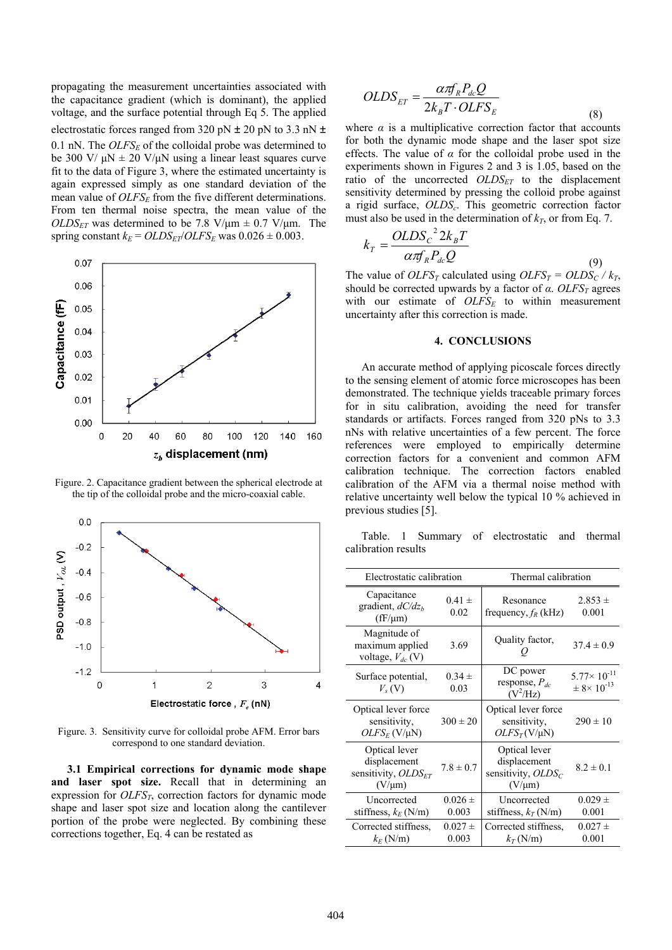propagating the measurement uncertainties associated with the capacitance gradient (which is dominant), the applied voltage, and the surface potential through Eq 5. The applied electrostatic forces ranged from 320 pN  $\pm$  20 pN to 3.3 nN  $\pm$ 0.1 nN. The  $OLFS_F$  of the colloidal probe was determined to be 300 V/  $\mu$ N  $\pm$  20 V/ $\mu$ N using a linear least squares curve fit to the data of Figure 3, where the estimated uncertainty is again expressed simply as one standard deviation of the mean value of  $OLFS_E$  from the five different determinations. From ten thermal noise spectra, the mean value of the  $OLDS<sub>ET</sub>$  was determined to be 7.8 V/ $\mu$ m  $\pm$  0.7 V/ $\mu$ m. The spring constant  $k_E = OLDS_{ET}/OLFS_E$  was  $0.026 \pm 0.003$ .



Figure. 2. Capacitance gradient between the spherical electrode at the tip of the colloidal probe and the micro-coaxial cable.



Figure. 3. Sensitivity curve for colloidal probe AFM. Error bars correspond to one standard deviation.

**3.1 Empirical corrections for dynamic mode shape and laser spot size.** Recall that in determining an expression for *OLFS<sub>T</sub>*, correction factors for dynamic mode shape and laser spot size and location along the cantilever portion of the probe were neglected. By combining these corrections together, Eq. 4 can be restated as

$$
OLDS_{ET} = \frac{\alpha \pi f_R P_{dc} Q}{2k_B T \cdot O LFS_E}
$$
\n(8)

where  $\alpha$  is a multiplicative correction factor that accounts for both the dynamic mode shape and the laser spot size effects. The value of *α* for the colloidal probe used in the experiments shown in Figures 2 and 3 is 1.05, based on the ratio of the uncorrected  $OLDS_{ET}$  to the displacement sensitivity determined by pressing the colloid probe against a rigid surface, *OLDS<sub>c</sub>*. This geometric correction factor must also be used in the determination of  $k_T$ , or from Eq. 7.

$$
k_T = \frac{OLDS_c^2 2k_B T}{\alpha \pi R R_{dc} Q}
$$
\n(9)

The value of *OLFS<sub>T</sub>* calculated using *OLFS<sub>T</sub>* = *OLDS<sub>C</sub>* /  $k_T$ , should be corrected upwards by a factor of *α*. *OLFS<sub>T</sub>* agrees with our estimate of  $OLFS_E$  to within measurement uncertainty after this correction is made.

## **4. CONCLUSIONS**

An accurate method of applying picoscale forces directly to the sensing element of atomic force microscopes has been demonstrated. The technique yields traceable primary forces for in situ calibration, avoiding the need for transfer standards or artifacts. Forces ranged from 320 pNs to 3.3 nNs with relative uncertainties of a few percent. The force references were employed to empirically determine correction factors for a convenient and common AFM calibration technique. The correction factors enabled calibration of the AFM via a thermal noise method with relative uncertainty well below the typical 10 % achieved in previous studies [5].

Table. 1 Summary of electrostatic and thermal calibration results

| Electrostatic calibration                                                |                      | Thermal calibration                                                   |                                                              |
|--------------------------------------------------------------------------|----------------------|-----------------------------------------------------------------------|--------------------------------------------------------------|
| Capacitance<br>gradient, $dC/dzh$<br>$(fF/\mu m)$                        | $0.41 \pm$<br>0.02   | Resonance<br>frequency, $f_R$ (kHz)                                   | $2.853 \pm$<br>0.001                                         |
| Magnitude of<br>maximum applied<br>voltage, $V_{dc}$ (V)                 | 3.69                 | Quality factor,                                                       | $37.4 \pm 0.9$                                               |
| Surface potential,<br>$V_{s}(V)$                                         | $0.34 \pm$<br>0.03   | DC power<br>response, $P_{dc}$<br>$(V^2/Hz)$                          | $5.77 \times 10^{-11}$<br>$\pm$ 8 $\times$ 10 <sup>-13</sup> |
| Optical lever force<br>sensitivity,<br>$OLFS_F$ (V/µN)                   | $300 \pm 20$         | Optical lever force<br>sensitivity,<br>$OLFS_T(V/\mu N)$              | $290 \pm 10$                                                 |
| Optical lever<br>displacement<br>sensitivity, $OLDS_{ET}$<br>$(V/\mu m)$ | $7.8 \pm 0.7$        | Optical lever<br>displacement<br>sensitivity, $OLDS_C$<br>$(V/\mu m)$ | $8.2 \pm 0.1$                                                |
| Uncorrected<br>stiffness, $k_E$ (N/m)                                    | $0.026 \pm$<br>0.003 | Uncorrected<br>stiffness, $k_T$ (N/m)                                 | $0.029 \pm$<br>0.001                                         |
| Corrected stiffness,<br>$k_F$ (N/m)                                      | $0.027 \pm$<br>0.003 | Corrected stiffness.<br>$k_T$ (N/m)                                   | $0.027 \pm$<br>0.001                                         |